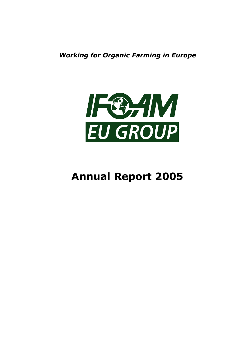Working for Organic Farming in Europe



# Annual Report 2005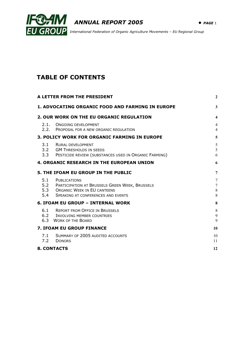



International Federation of Organic Agriculture Movements – EU Regional Group

# TABLE OF CONTENTS

| A LETTER FROM THE PRESIDENT                             |                                                                                                                                                    |                                     |  |
|---------------------------------------------------------|----------------------------------------------------------------------------------------------------------------------------------------------------|-------------------------------------|--|
| <b>1. ADVOCATING ORGANIC FOOD AND FARMING IN EUROPE</b> |                                                                                                                                                    |                                     |  |
|                                                         | <b>2. OUR WORK ON THE EU ORGANIC REGULATION</b>                                                                                                    | $\overline{\mathbf{4}}$             |  |
| 2.1.                                                    | <b>ONGOING DEVELOPMENT</b><br>2.2. PROPOSAL FOR A NEW ORGANIC REGULATION                                                                           | $\overline{4}$<br>$\overline{4}$    |  |
|                                                         | 3. POLICY WORK FOR ORGANIC FARMING IN EUROPE                                                                                                       | 5                                   |  |
| 3.1<br>3.3                                              | <b>RURAL DEVELOPMENT</b><br>3.2 GM THRESHOLDS IN SEEDS<br>PESTICIDE REVIEW (SUBSTANCES USED IN ORGANIC FARMING)                                    | $\sqrt{5}$<br>5<br>6                |  |
|                                                         | <b>4. ORGANIC RESEARCH IN THE EUROPEAN UNION</b>                                                                                                   | 6                                   |  |
|                                                         | 5. THE IFOAM EU GROUP IN THE PUBLIC                                                                                                                | $\overline{7}$                      |  |
| 5.1<br>5.4                                              | <b>PUBLICATIONS</b><br>5.2 PARTICIPATION AT BRUSSELS GREEN WEEK, BRUSSELS<br>5.3 ORGANIC WEEK IN EU CANTEENS<br>SPEAKING AT CONFERENCES AND EVENTS | 7<br>$\overline{7}$<br>$\,8\,$<br>8 |  |
|                                                         | <b>6. IFOAM EU GROUP - INTERNAL WORK</b>                                                                                                           | 8                                   |  |
|                                                         | 6.1 REPORT FROM OFFICE IN BRUSSELS<br>6.2 INVOLVING MEMBER COUNTRIES<br>6.3 WORK OF THE BOARD                                                      | 8<br>9<br>9                         |  |
|                                                         | <b>7. IFOAM EU GROUP FINANCE</b>                                                                                                                   | 10                                  |  |
| 7.2                                                     | 7.1 SUMMARY OF 2005 AUDITED ACCOUNTS<br><b>DONORS</b>                                                                                              | 10<br>11                            |  |
|                                                         | <b>8. CONTACTS</b>                                                                                                                                 | 12                                  |  |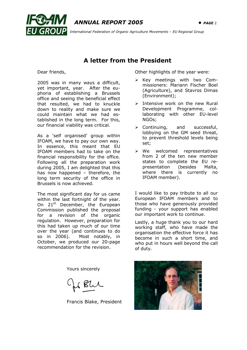



International Federation of Organic Agriculture Movements – EU Regional Group

# A letter from the President

Dear friends,

2005 was in many ways a difficult, yet important, year. After the euphoria of establishing a Brussels office and seeing the beneficial effect that resulted, we had to knuckle down to reality and make sure we could maintain what we had established in the long term. For this, our financial viability was critical.

As a 'self organised' group within IFOAM, we have to pay our own way. In essence, this meant that EU IFOAM members had to take on the financial responsibility for the office. Following all the preparation work during 2005, I am delighted that this has now happened – therefore, the long term security of the office in Brussels is now achieved.

The most significant day for us came within the last fortnight of the year. On 21<sup>st</sup> December, the European Commission published the proposal for a revision of the organic regulation. However, preparation for this had taken up much of our time over the year (and continues to do so in 2006). Most notably, in October, we produced our 20-page recommendation for the revision.

Yours sincerely

But

Francis Blake, President

Other highlights of the year were:

- $\triangleright$  Key meetings with two Commissioners: Mariann Fischer Boel (Agriculture), and Stavros Dimas (Environment);
- $\triangleright$  Intensive work on the new Rural Development Programme, collaborating with other EU-level NGOs;
- Continuing, and successful, lobbying on the GM seed threat, to prevent threshold levels being set;
- We welcomed representatives from 2 of the ten new member states to complete the EU representation (besides Malta, where there is currently no IFOAM member).

I would like to pay tribute to all our European IFOAM members and to those who have generously provided funding - your support has enabled our important work to continue.

Lastly, a huge thank you to our hard working staff, who have made the organisation the effective force it has become in such a short time, and who put in hours well beyond the call of duty.

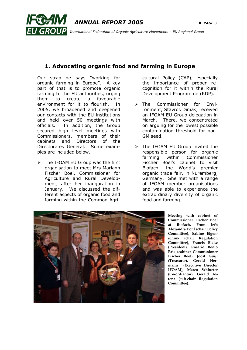

**GROUP** International Federation of Organic Agriculture Movements - EU Regional Group

# 1. Advocating organic food and farming in Europe

Our strap-line says "working for organic farming in Europe". A key part of that is to promote organic farming to the EU authorities, urging them to create a favourable environment for it to flourish. In 2005, we broadened and deepened our contacts with the EU institutions and held over 50 meetings with officials. In addition, the Group secured high level meetings with Commissioners, members of their cabinets and Directors of the Directorates General. Some examples are included below.

ľ

 $\triangleright$  The IFOAM EU Group was the first organisation to meet Mrs Mariann Fischer Boel, Commissioner for Agriculture and Rural Development, after her inauguration in January. We discussed the different aspects of organic food and farming within the Common Agri-

cultural Policy (CAP), especially the importance of proper recognition for it within the Rural Development Programme (RDP).

- > The Commissioner for Environment, Stavros Dimas, received an IFOAM EU Group delegation in March. There, we concentrated on arguing for the lowest possible contamination threshold for non-GM seed.
- $\triangleright$  The IFOAM EU Group invited the responsible person for organic farming within Commissioner Fischer Boel's cabinet to visit Biofach, the World's premier organic trade fair, in Nuremberg, Germany. She met with a range of IFOAM member organisations and was able to experience the extraordinary diversity of organic food and farming.



Meeting with cabinet of Commissioner Fischer Boel at Biofach. From left: Alexandra Pohl (chair Policy Committee), Sabine Eigenschink (chair Regulation Committee), Francis Blake (President), Rosario Bento Pais (cabinet Commissioner Fischer Boel), Joost Guijt (Treasurer), Gerald Hermann (Executive Director IFOAM), Marco Schlueter (Co-ordiantor), Gerald Altena (sub-chair Regulation Committee).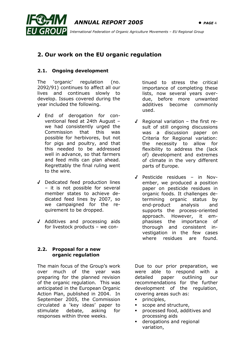ľ  $ANNUAL$  REPORT 2005  $\bullet$  PAGE 4  $I$   $GROUP$  International Federation of Organic Agriculture Movements – EU Regional Group

# 2. Our work on the EU organic regulation

## 2.1. Ongoing development

The 'organic' regulation (no. 2092/91) continues to affect all our lives and continues slowly to develop. Issues covered during the year included the following.

- √ End of derogation for conventional feed at 24th August – we had consistently urged the Commission that this was possible for herbivores, but not for pigs and poultry, and that this needed to be addressed well in advance, so that farmers and feed mills can plan ahead. Regrettably the final ruling went to the wire.
- √ Dedicated feed production lines – it is not possible for several member states to achieve dedicated feed lines by 2007, so we campaigned for the requirement to be dropped.
- √ Additives and processing aids for livestock products – we con-

#### 2.2. Proposal for a new organic regulation

The main focus of the Group's work over much of the year was preparing for the planned revision of the organic regulation. This was anticipated in the European Organic Action Plan, published in 2004. In September 2005, the Commission circulated a 'key ideas' paper to stimulate debate, asking for responses within three weeks.

tinued to stress the critical importance of completing these lists, now several years overdue, before more unwanted additives become commonly used.

- √ Regional variation the first result of still ongoing discussions was a discussion paper on Criteria for Regional variation: the necessity to allow for flexibility to address the (lack of) development and extremes of climate in the very different parts of Europe.
- √ Pesticide residues in November, we produced a position paper on pesticide residues in organic foods. It challenges determining organic status by end-product analysis and supports the process-oriented approach. However, it emphasises the importance of thorough and consistent investigation in the few cases where residues are found.

Due to our prior preparation, we were able to respond with a detailed paper outlining our recommendations for the further development of the regulation, covering areas such as:

- principles,
- scope and structure,
- processed food, additives and processing aids
- derogations and regional variation,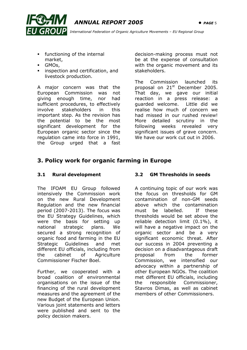



ANNUAL REPORT 2005 • PAGE 5

 $I$   $GROUP$  International Federation of Organic Agriculture Movements – EU Regional Group

- functioning of the internal market,
- GMOs,
- inspection and certification, and livestock production.

A major concern was that the European Commission was not giving enough time, nor had sufficient procedures, to effectively involve stakeholders in this important step. As the revision has the potential to be the most significant development for the European organic sector since the regulation came into force in 1991, the Group urged that a fast

decision-making process must not be at the expense of consultation with the organic movement and its stakeholders.

The Commission launched its proposal on 21<sup>st</sup> December 2005. That day, we gave our initial reaction in a press release: a guarded welcome. Little did we realise how much of concern we had missed in our rushed review! More detailed scrutiny in the following weeks revealed very significant issues of grave concern. We have our work cut out in 2006.

## 3. Policy work for organic farming in Europe

### 3.1 Rural development

The IFOAM EU Group followed intensively the Commission work on the new Rural Development Regulation and the new financial period (2007-2013). The focus was the EU Strategy Guidelines, which were the basis for setting up national strategic plans. We secured a strong recognition of organic food and farming in the EU Strategic Guidelines and met different EU officials, including from the cabinet of Agriculture Commissioner Fischer Boel.

Further, we cooperated with a broad coalition of environmental organisations on the issue of the financing of the rural development measures and the agreement of the new Budget of the European Union. Various joint statements and letters were published and sent to the policy decision makers.

## 3.2 GM Thresholds in seeds

A continuing topic of our work was the focus on thresholds for GM contamination of non-GM seeds above which the contamination must be labelled. If these thresholds would be set above the reliable detection limit (0.1%), it will have a negative impact on the organic sector and be a very significant economic threat. After our success in 2004 preventing a decision on a disadvantageous draft proposal from the former Commission, we intensified our advocacy within a partnership of other European NGOs. The coalition met different EU officials, including the responsible Commissioner, Stavros Dimas, as well as cabinet members of other Commissioners.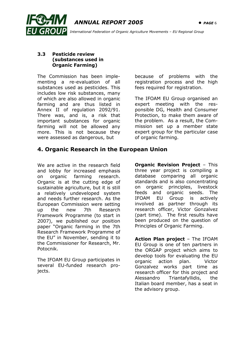

 $I$   $GROUP$  International Federation of Organic Agriculture Movements – EU Regional Group

#### 3.3 Pesticide review (substances used in Organic Farming)

The Commission has been implementing a re-evaluation of all substances used as pesticides. This includes low risk substances, many of which are also allowed in organic farming and are thus listed in Annex II of regulation 2092/91. There was, and is, a risk that important substances for organic farming will not be allowed any more. This is not because they were assessed as dangerous, but

because of problems with the registration process and the high fees required for registration.

The IFOAM EU Group organised an expert meeting with the responsible DG, Health and Consumer Protection, to make them aware of the problem. As a result, the Commission set up a member state expert group for the particular case of organic farming.

## 4. Organic Research in the European Union

We are active in the research field and lobby for increased emphasis on organic farming research. Organic is at the cutting edge of sustainable agriculture, but it is still a relatively undeveloped system and needs further research. As the European Commission were setting up the new 7th Research Framework Programme (to start in 2007), we published our position paper "Organic farming in the 7th Research Framework Programme of the EU" in November, sending it to the Commissioner for Research, Mr. Potocnik.

The IFOAM EU Group participates in several EU-funded research projects.

**Organic Revision Project - This** three year project is compiling a database comparing all organic standards and is also concentrating on organic principles, livestock feeds and organic seeds. The IFOAM EU Group is actively involved as partner through its research officer, Victor Gonzalvez (part time). The first results have been produced on the question of Principles of Organic Farming.

Action Plan project - The IFOAM EU Group is one of ten partners in the ORGAP project which aims to develop tools for evaluating the EU organic action plan. Victor Gonzalvez works part time as research officer for this project and Alessandro Triantafyllidis, the Italian board member, has a seat in the advisory group.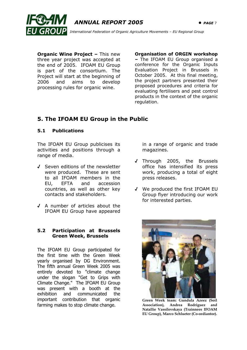



**Organic Wine Project - This new** three year project was accepted at the end of 2005. IFOAM EU Group is part of the consortium. The Project will start at the beginning of 2006 and aims to develop processing rules for organic wine.

Organisation of ORGIN workshop

– The IFOAM EU Group organised a conference for the Organic Inputs Evaluation Project in Brussels in October 2005. At this final meeting, the project partners presented their proposed procedures and criteria for evaluating fertilisers and pest control products in the context of the organic regulation.

## 5. The IFOAM EU Group in the Public

#### 5.1 Publications

The IFOAM EU Group publicises its activities and positions through a range of media.

- √ Seven editions of the newsletter were produced. These are sent to all IFOAM members in the EU, EFTA and accession countries, as well as other key contacts and stakeholders.
- √ A number of articles about the IFOAM EU Group have appeared

#### 5.2 Participation at Brussels Green Week, Brussels

The IFOAM EU Group participated for the first time with the Green Week yearly organised by DG Environment. The fifth annual Green Week 2005 was entirely devoted to "climate change under the slogan "Get to Grips with Climate Change." The IFOAM EU Group was present with a booth at the exhibition and communicated the important contribution that organic farming makes to stop climate change.

in a range of organic and trade magazines.

- √ Through 2005, the Brussels office has intensified its press work, producing a total of eight press releases.
- √ We produced the first IFOAM EU Group flyer introducing our work for interested parties.



Green Week team: Gundula Azeez (Soil Association), Andrea Rodriguez and Natallie Vassilevskaya (Trainnees IFOAM EU Group), Marco Schlueter (Co-ordiantor).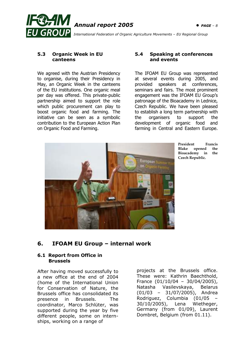

 $\overline{GROUP}$  International Federation of Organic Agriculture Movements – EU Regional Group

#### 5.3 Organic Week in EU canteens

We agreed with the Austrian Presidency to organise, during their Presidency in May, an Organic Week in the canteens of the EU institutions. One organic meal per day was offered. This private-public partnership aimed to support the role which public procurement can play to boost organic food and farming. The initiative can be seen as a symbolic contribution to the European Action Plan on Organic Food and Farming.

#### 5.4 Speaking at conferences and events

The IFOAM EU Group was represented at several events during 2005, and provided speakers at conferences, seminars and fairs. The most prominent engagement was the IFOAM EU Group's patronage of the Bioacademy in Lednice, Czech Republic. We have been pleased to establish a long term partnership with the organisers to support the development of organic food and farming in Central and Eastern Europe.



President Francis Blake opened the Bioacademy in the Czech Republic.

## 6. IFOAM EU Group – internal work

#### 6.1 Report from Office in Brussels

After having moved successfully to a new office at the end of 2004 (home of the International Union for Conservation of Nature, the Brussels office has consolidated its presence in Brussels. The coordinator, Marco Schlüter, was supported during the year by five different people, some on internships, working on a range of

projects at the Brussels office. These were: Kathrin Baechthold, France (01/10/04 – 30/04/2005), Natasha Vasilevskaya, Belarus (01/03 – 31/07/2005), Andrea Rodriguez, Columbia (01/05 – 30/10/2005), Lena Wietheger, Germany (from 01/09), Laurent Dombret, Belgium (from 01.11).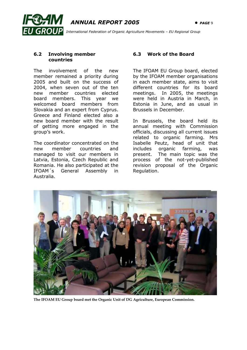ľ  $ANNUAL$  REPORT 2005  $\bullet$  PAGE 9 International Federation of Organic Agriculture Movements – EU Regional Group

#### 6.2 Involving member countries

The involvement of the new member remained a priority during 2005 and built on the success of 2004, when seven out of the ten new member countries elected board members. This year we welcomed board members from Slovakia and an expert from Cyprus. Greece and Finland elected also a new board member with the result of getting more engaged in the group's work.

The coordinator concentrated on the new member countries and managed to visit our members in Latvia, Estonia, Czech Republic and Romania. He also participated at the IFOAM´s General Assembly in Australia.

## 6.3 Work of the Board

The IFOAM EU Group board, elected by the IFOAM member organisations in each member state, aims to visit different countries for its board meetings. In 2005, the meetings were held in Austria in March, in Estonia in June, and as usual in Brussels in December.

In Brussels, the board held its annual meeting with Commission officials, discussing all current issues related to organic farming. Mrs Isabelle Peutz, head of unit that includes organic farming, was present. The main topic was the process of the not-yet-published revision proposal of the Organic Regulation.



The IFOAM EU Group board met the Organic Unit of DG Agriculture, European Commission.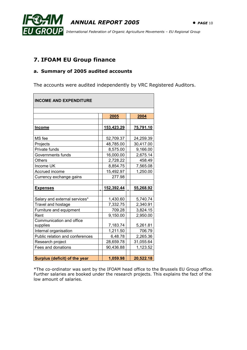



## 7. IFOAM EU Group finance

#### a. Summary of 2005 audited accounts

The accounts were audited independently by VRC Registered Auditors.

| <b>INCOME AND EXPENDITURE</b>                            |  |                       |  |                       |  |
|----------------------------------------------------------|--|-----------------------|--|-----------------------|--|
|                                                          |  | 2005                  |  | 2004                  |  |
| <b>Income</b>                                            |  | 153,423.29            |  | 75,791.10             |  |
| MS fee                                                   |  | 52,709.37             |  | 24,259.39             |  |
| Projects<br>Private funds                                |  | 48,785.00<br>8,575.00 |  | 30,417.00<br>9,166.00 |  |
| Governments funds                                        |  | 16,000.00             |  | 2,675.14              |  |
| Others<br>Income UK                                      |  | 2,728.22<br>8,854.75  |  | 458.49<br>7,565.08    |  |
| Accrued income<br>Currency exchange gains                |  | 15,492.97<br>277.98   |  | 1,250.00              |  |
| <b>Expenses</b>                                          |  | 152,392.44            |  | 55,268.92             |  |
| Salary and external services*                            |  | 1,430.60              |  | 5,740.74              |  |
| Travel and hostage                                       |  | 7,332.75              |  | 2,340.91              |  |
| Furniture and equipment<br>Rent                          |  | 709.28<br>9,150.00    |  | 3,824.15<br>2,950.00  |  |
| Communication and office<br>supplies                     |  | 7,183.74              |  | 5,261.81              |  |
| Internal organisation<br>Public relation and conferences |  | 1,211.50<br>6,48.78   |  | 706.79<br>2,265.36    |  |
| Research project                                         |  | 28,659.78             |  | 31,055.64             |  |
| Fees and donations                                       |  | 90,436.88             |  | 1,123.52              |  |
| Surplus (deficit) of the year                            |  | 1,059.98              |  | 20,522.18             |  |

\*The co-ordinator was sent by the IFOAM head office to the Brussels EU Group office. Further salaries are booked under the research projects. This explains the fact of the low amount of salaries.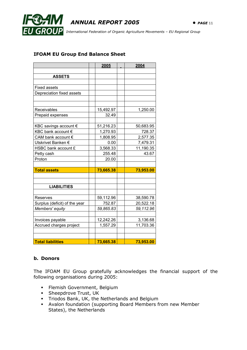

#### IFOAM EU Group End Balance Sheet

|                               | 2005      | 2004      |
|-------------------------------|-----------|-----------|
|                               |           |           |
| <b>ASSETS</b>                 |           |           |
|                               |           |           |
| <b>Fixed assets</b>           |           |           |
| Depreciation fixed assets     |           |           |
|                               |           |           |
|                               |           |           |
| Receivables                   | 15,492.97 | 1,250.00  |
| Prepaid expenses              | 32.49     |           |
|                               |           |           |
| KBC savings account €         | 51,216.23 | 50,683.95 |
| KBC bank account €            | 1,270.93  | 728.37    |
| CAM bank account €            | 1,808.95  | 2,577.35  |
| Utskrivet Banken €            | 0.00      | 7,479.31  |
| HSBC bank account £           | 3,568.33  | 11,190.35 |
| Petty cash                    | 255.48    | 43.67     |
| Proton                        | 20.00     |           |
|                               |           |           |
| <b>Total assets</b>           | 73,665.38 | 73,953.00 |
|                               |           |           |
|                               |           |           |
| <b>LIABILITIES</b>            |           |           |
| <b>Reserves</b>               | 59,112.96 | 38,590.78 |
| Surplus (deficit) of the year | 752.87    | 20,522.18 |
| Members' equity               | 59,865.83 | 59,112.96 |
|                               |           |           |
| Invoices payable              | 12,242.26 | 3,136.68  |
| Accrued charges project       | 1,557.29  | 11,703.36 |
|                               |           |           |
|                               |           |           |
| <b>Total liabilities</b>      | 73,665.38 | 73,953.00 |

#### b. Donors

The IFOAM EU Group gratefully acknowledges the financial support of the following organisations during 2005:

- Flemish Government, Belgium
- **Sheepdrove Trust, UK**
- Triodos Bank, UK, the Netherlands and Belgium
- Avalon foundation (supporting Board Members from new Member States), the Netherlands